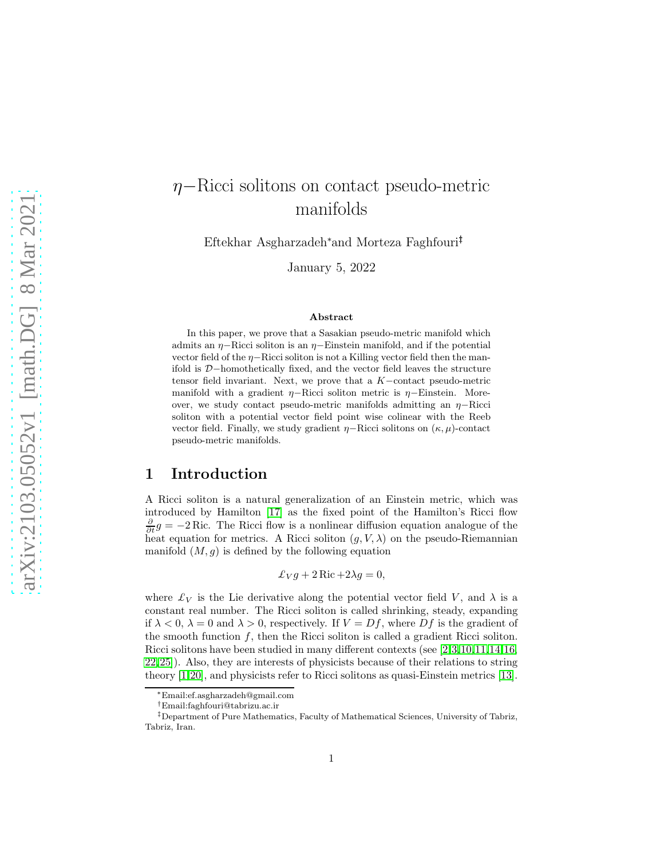# η−Ricci solitons on contact pseudo-metric manifolds

Eftekhar Asgharzadeh<sup>∗</sup>and Morteza Faghfouri†‡

January 5, 2022

#### Abstract

In this paper, we prove that a Sasakian pseudo-metric manifold which admits an  $\eta$ –Ricci soliton is an  $\eta$ –Einstein manifold, and if the potential vector field of the  $\eta$ −Ricci soliton is not a Killing vector field then the manifold is D−homothetically fixed, and the vector field leaves the structure tensor field invariant. Next, we prove that a K−contact pseudo-metric manifold with a gradient  $η$ -Ricci soliton metric is  $η$ -Einstein. Moreover, we study contact pseudo-metric manifolds admitting an  $η$ -Ricci soliton with a potential vector field point wise colinear with the Reeb vector field. Finally, we study gradient  $\eta$ –Ricci solitons on  $(\kappa, \mu)$ -contact pseudo-metric manifolds.

#### 1 Introduction

A Ricci soliton is a natural generalization of an Einstein metric, which was introduced by Hamilton [\[17\]](#page-12-0) as the fixed point of the Hamilton's Ricci flow  $\frac{\partial}{\partial t}g = -2$  Ric. The Ricci flow is a nonlinear diffusion equation analogue of the heat equation for metrics. A Ricci soliton  $(g, V, \lambda)$  on the pseudo-Riemannian manifold  $(M, g)$  is defined by the following equation

$$
\pounds_V g + 2 \operatorname{Ric} + 2\lambda g = 0,
$$

where  $\mathcal{L}_V$  is the Lie derivative along the potential vector field V, and  $\lambda$  is a constant real number. The Ricci soliton is called shrinking, steady, expanding if  $\lambda < 0$ ,  $\lambda = 0$  and  $\lambda > 0$ , respectively. If  $V = Df$ , where  $Df$  is the gradient of the smooth function  $f$ , then the Ricci soliton is called a gradient Ricci soliton. Ricci solitons have been studied in many different contexts (see [\[2,](#page-11-0)[3,](#page-11-1)[10,](#page-12-1)[11,](#page-12-2)[14,](#page-12-3)[16,](#page-12-4) [22,](#page-13-0)[25\]](#page-13-1)). Also, they are interests of physicists because of their relations to string theory [\[1,](#page-11-2)[20\]](#page-13-2), and physicists refer to Ricci solitons as quasi-Einstein metrics [\[13\]](#page-12-5).

<sup>∗</sup>Email:ef.asgharzadeh@gmail.com

<sup>†</sup>Email:faghfouri@tabrizu.ac.ir

<sup>‡</sup>Department of Pure Mathematics, Faculty of Mathematical Sciences, University of Tabriz, Tabriz, Iran.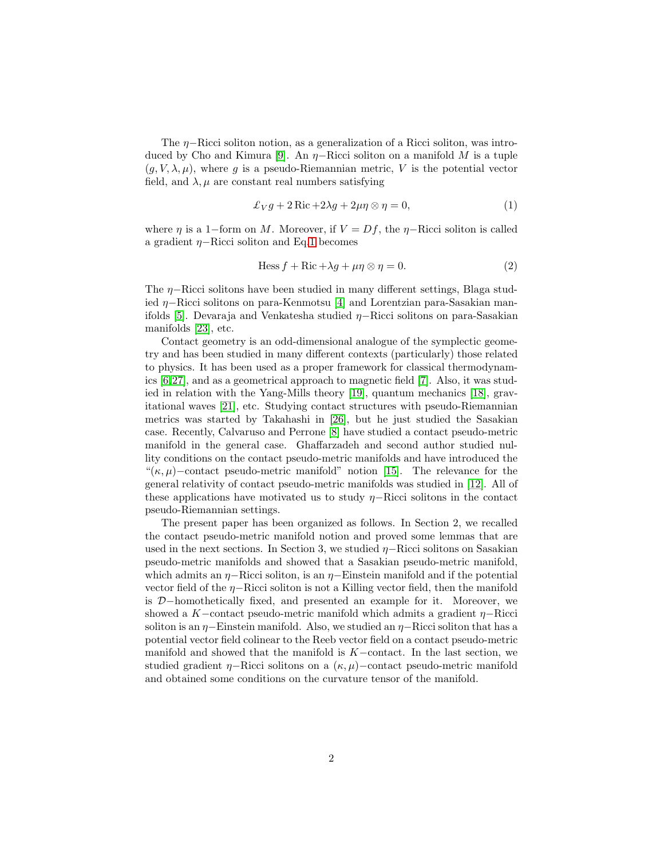The  $\eta$ −Ricci soliton notion, as a generalization of a Ricci soliton, was intro-duced by Cho and Kimura [\[9\]](#page-12-6). An  $\eta$ –Ricci soliton on a manifold M is a tuple  $(g, V, \lambda, \mu)$ , where g is a pseudo-Riemannian metric, V is the potential vector field, and  $\lambda$ ,  $\mu$  are constant real numbers satisfying

<span id="page-1-0"></span>
$$
\pounds_V g + 2 \operatorname{Ric} + 2\lambda g + 2\mu \eta \otimes \eta = 0, \tag{1}
$$

where  $\eta$  is a 1–form on M. Moreover, if  $V = Df$ , the  $\eta$ –Ricci soliton is called a gradient  $η$ -Ricci soliton and Eq[.1](#page-1-0) becomes

<span id="page-1-1"></span>
$$
\text{Hess } f + \text{Ric} + \lambda g + \mu \eta \otimes \eta = 0. \tag{2}
$$

The *η*−Ricci solitons have been studied in many different settings, Blaga studied η−Ricci solitons on para-Kenmotsu [\[4\]](#page-11-3) and Lorentzian para-Sasakian manifolds [\[5\]](#page-11-4). Devaraja and Venkatesha studied η−Ricci solitons on para-Sasakian manifolds [\[23\]](#page-13-3), etc.

Contact geometry is an odd-dimensional analogue of the symplectic geometry and has been studied in many different contexts (particularly) those related to physics. It has been used as a proper framework for classical thermodynamics [\[6,](#page-12-7)[27\]](#page-13-4), and as a geometrical approach to magnetic field [\[7\]](#page-12-8). Also, it was studied in relation with the Yang-Mills theory [\[19\]](#page-12-9), quantum mechanics [\[18\]](#page-12-10), gravitational waves [\[21\]](#page-13-5), etc. Studying contact structures with pseudo-Riemannian metrics was started by Takahashi in [\[26\]](#page-13-6), but he just studied the Sasakian case. Recently, Calvaruso and Perrone [\[8\]](#page-12-11) have studied a contact pseudo-metric manifold in the general case. Ghaffarzadeh and second author studied nullity conditions on the contact pseudo-metric manifolds and have introduced the " $(\kappa, \mu)$ –contact pseudo-metric manifold" notion [\[15\]](#page-12-12). The relevance for the general relativity of contact pseudo-metric manifolds was studied in [\[12\]](#page-12-13). All of these applications have motivated us to study  $\eta$ –Ricci solitons in the contact pseudo-Riemannian settings.

The present paper has been organized as follows. In Section 2, we recalled the contact pseudo-metric manifold notion and proved some lemmas that are used in the next sections. In Section 3, we studied  $\eta$ –Ricci solitons on Sasakian pseudo-metric manifolds and showed that a Sasakian pseudo-metric manifold, which admits an  $\eta$ –Ricci soliton, is an  $\eta$ –Einstein manifold and if the potential vector field of the  $η$ -Ricci soliton is not a Killing vector field, then the manifold is D−homothetically fixed, and presented an example for it. Moreover, we showed a K–contact pseudo-metric manifold which admits a gradient  $η$ –Ricci soliton is an  $\eta$ –Einstein manifold. Also, we studied an  $\eta$ –Ricci soliton that has a potential vector field colinear to the Reeb vector field on a contact pseudo-metric manifold and showed that the manifold is  $K$ -contact. In the last section, we studied gradient  $\eta$ –Ricci solitons on a  $(\kappa, \mu)$ –contact pseudo-metric manifold and obtained some conditions on the curvature tensor of the manifold.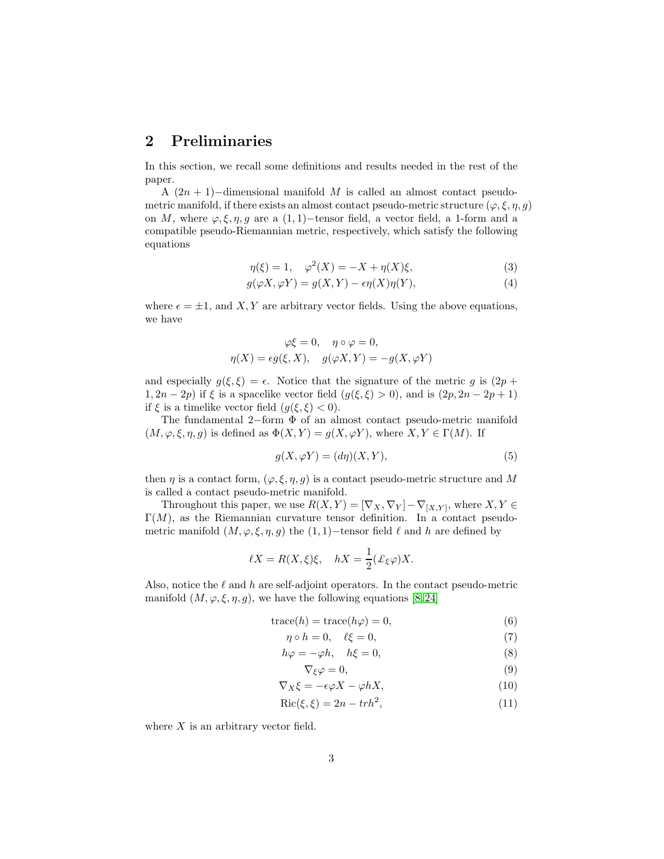### 2 Preliminaries

In this section, we recall some definitions and results needed in the rest of the paper.

A  $(2n + 1)$ -dimensional manifold M is called an almost contact pseudometric manifold, if there exists an almost contact pseudo-metric structure  $(\varphi, \xi, \eta, g)$ on M, where  $\varphi, \xi, \eta, g$  are a (1,1)–tensor field, a vector field, a 1-form and a compatible pseudo-Riemannian metric, respectively, which satisfy the following equations

<span id="page-2-3"></span>
$$
\eta(\xi) = 1, \quad \varphi^2(X) = -X + \eta(X)\xi,
$$
\n(3)

$$
g(\varphi X, \varphi Y) = g(X, Y) - \epsilon \eta(X)\eta(Y), \tag{4}
$$

where  $\epsilon = \pm 1$ , and X, Y are arbitrary vector fields. Using the above equations, we have

$$
\varphi\xi = 0, \quad \eta \circ \varphi = 0,
$$
  

$$
\eta(X) = \epsilon g(\xi, X), \quad g(\varphi X, Y) = -g(X, \varphi Y)
$$

and especially  $g(\xi, \xi) = \epsilon$ . Notice that the signature of the metric g is  $(2p +$  $1, 2n - 2p$ ) if  $\xi$  is a spacelike vector field  $(g(\xi, \xi) > 0)$ , and is  $(2p, 2n - 2p + 1)$ if  $\xi$  is a timelike vector field  $(g(\xi, \xi) < 0)$ .

The fundamental 2−form Φ of an almost contact pseudo-metric manifold  $(M, \varphi, \xi, \eta, g)$  is defined as  $\Phi(X, Y) = g(X, \varphi Y)$ , where  $X, Y \in \Gamma(M)$ . If

<span id="page-2-0"></span>
$$
g(X, \varphi Y) = (d\eta)(X, Y),\tag{5}
$$

then  $\eta$  is a contact form,  $(\varphi, \xi, \eta, g)$  is a contact pseudo-metric structure and M is called a contact pseudo-metric manifold.

Throughout this paper, we use  $R(X,Y) = [\nabla_X, \nabla_Y] - \nabla_{[X,Y]}$ , where  $X, Y \in$  $\Gamma(M)$ , as the Riemannian curvature tensor definition. In a contact pseudometric manifold  $(M, \varphi, \xi, \eta, g)$  the  $(1, 1)$ −tensor field  $\ell$  and  $h$  are defined by

$$
\ell X = R(X,\xi)\xi, \quad hX = \frac{1}{2}(\pounds_{\xi}\varphi)X.
$$

Also, notice the  $\ell$  and  $h$  are self-adjoint operators. In the contact pseudo-metric manifold  $(M, \varphi, \xi, \eta, g)$ , we have the following equations [\[8,](#page-12-11) [24\]](#page-13-7)

$$
trace(h) = trace(h\varphi) = 0,
$$
\n(6)

$$
\eta \circ h = 0, \quad \ell \xi = 0,\tag{7}
$$

$$
h\varphi = -\varphi h, \quad h\xi = 0,\tag{8}
$$

<span id="page-2-2"></span><span id="page-2-1"></span>
$$
\nabla_{\xi}\varphi = 0,\tag{9}
$$

$$
\nabla_X \xi = -\epsilon \varphi X - \varphi h X,\tag{10}
$$

$$
Ric(\xi, \xi) = 2n - trh^2,\tag{11}
$$

where  $X$  is an arbitrary vector field.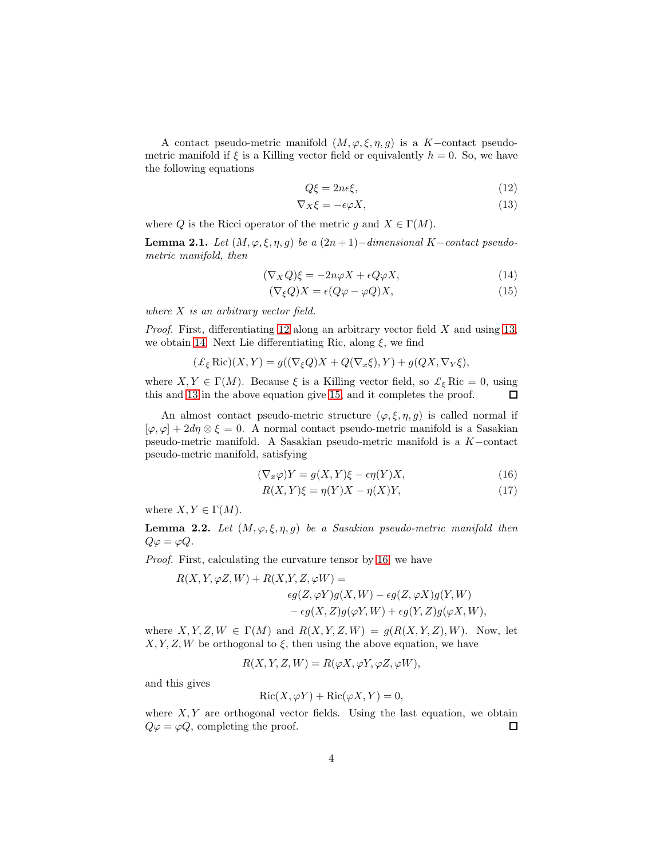A contact pseudo-metric manifold  $(M, \varphi, \xi, \eta, g)$  is a K-contact pseudometric manifold if  $\xi$  is a Killing vector field or equivalently  $h = 0$ . So, we have the following equations

<span id="page-3-1"></span><span id="page-3-0"></span>
$$
Q\xi = 2n\epsilon\xi,\tag{12}
$$

<span id="page-3-3"></span><span id="page-3-2"></span>
$$
\nabla_X \xi = -\epsilon \varphi X,\tag{13}
$$

where Q is the Ricci operator of the metric g and  $X \in \Gamma(M)$ .

<span id="page-3-5"></span>Lemma 2.1. Let  $(M, \varphi, \xi, \eta, g)$  be a  $(2n + 1)$ −dimensional K−contact pseudometric manifold, then

$$
(\nabla_X Q)\xi = -2n\varphi X + \epsilon Q\varphi X,\tag{14}
$$

$$
(\nabla_{\xi}Q)X = \epsilon(Q\varphi - \varphi Q)X,\tag{15}
$$

where  $X$  is an arbitrary vector field.

*Proof.* First, differentiating [12](#page-3-0) along an arbitrary vector field  $X$  and using [13,](#page-3-1) we obtain [14.](#page-3-2) Next Lie differentiating Ric, along  $\xi$ , we find

$$
(\mathcal{L}_{\xi} \operatorname{Ric})(X, Y) = g((\nabla_{\xi} Q)X + Q(\nabla_{x} \xi), Y) + g(QX, \nabla_{Y} \xi),
$$

where  $X, Y \in \Gamma(M)$ . Because  $\xi$  is a Killing vector field, so  $\mathcal{L}_{\xi}$  Ric = 0, using this and [13](#page-3-1) in the above equation give [15,](#page-3-3) and it completes the proof.  $\Box$ 

An almost contact pseudo-metric structure  $(\varphi, \xi, \eta, g)$  is called normal if  $[\varphi, \varphi] + 2d\eta \otimes \xi = 0$ . A normal contact pseudo-metric manifold is a Sasakian pseudo-metric manifold. A Sasakian pseudo-metric manifold is a K−contact pseudo-metric manifold, satisfying

$$
(\nabla_x \varphi)Y = g(X, Y)\xi - \epsilon \eta(Y)X,\tag{16}
$$

<span id="page-3-7"></span><span id="page-3-4"></span>
$$
R(X,Y)\xi = \eta(Y)X - \eta(X)Y,\tag{17}
$$

where  $X, Y \in \Gamma(M)$ .

<span id="page-3-6"></span>**Lemma 2.2.** Let  $(M, \varphi, \xi, \eta, g)$  be a Sasakian pseudo-metric manifold then  $Q\varphi = \varphi Q.$ 

Proof. First, calculating the curvature tensor by [16,](#page-3-4) we have

$$
R(X, Y, \varphi Z, W) + R(X, Y, Z, \varphi W) =
$$
  
\n
$$
\epsilon g(Z, \varphi Y)g(X, W) - \epsilon g(Z, \varphi X)g(Y, W)
$$
  
\n
$$
- \epsilon g(X, Z)g(\varphi Y, W) + \epsilon g(Y, Z)g(\varphi X, W),
$$

where  $X, Y, Z, W \in \Gamma(M)$  and  $R(X, Y, Z, W) = g(R(X, Y, Z), W)$ . Now, let  $X, Y, Z, W$  be orthogonal to  $\xi$ , then using the above equation, we have

$$
R(X, Y, Z, W) = R(\varphi X, \varphi Y, \varphi Z, \varphi W),
$$

and this gives

$$
Ric(X, \varphi Y) + Ric(\varphi X, Y) = 0,
$$

where  $X, Y$  are orthogonal vector fields. Using the last equation, we obtain  $Q\varphi = \varphi Q$ , completing the proof.  $\Box$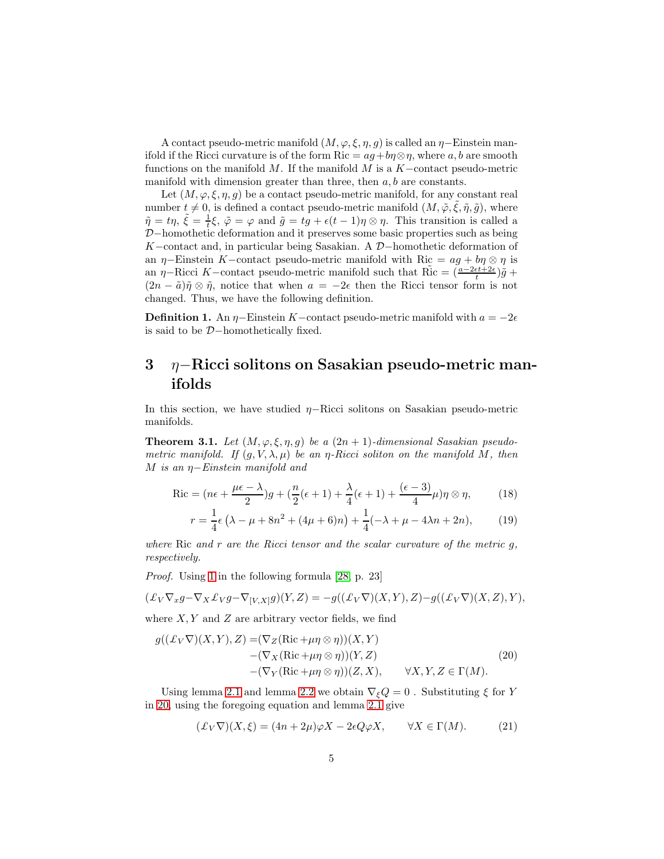A contact pseudo-metric manifold  $(M, \varphi, \xi, \eta, g)$  is called an  $\eta$ –Einstein manifold if the Ricci curvature is of the form Ric =  $ag + b\eta \otimes \eta$ , where a, b are smooth functions on the manifold M. If the manifold M is a  $K$ -contact pseudo-metric manifold with dimension greater than three, then  $a, b$  are constants.

Let  $(M, \varphi, \xi, \eta, g)$  be a contact pseudo-metric manifold, for any constant real number  $t \neq 0$ , is defined a contact pseudo-metric manifold  $(M, \tilde{\varphi}, \tilde{\xi}, \tilde{\eta}, \tilde{g})$ , where  $\tilde{\eta} = t\eta$ ,  $\tilde{\xi} = \frac{1}{t}\xi$ ,  $\tilde{\varphi} = \varphi$  and  $\tilde{g} = tg + \epsilon(t-1)\eta \otimes \eta$ . This transition is called a D−homothetic deformation and it preserves some basic properties such as being K−contact and, in particular being Sasakian. A D−homothetic deformation of an  $\eta$ –Einstein K–contact pseudo-metric manifold with Ric =  $ag + b\eta \otimes \eta$  is an  $\eta$ –Ricci K–contact pseudo-metric manifold such that  $\tilde{\text{Ric}} = (\frac{a-2\epsilon t+2\epsilon}{t})\tilde{g}$ +  $(2n - \tilde{a})\tilde{\eta} \otimes \tilde{\eta}$ , notice that when  $a = -2\epsilon$  then the Ricci tensor form is not changed. Thus, we have the following definition.

**Definition 1.** An  $\eta$ –Einstein K–contact pseudo-metric manifold with  $a = -2\epsilon$ is said to be D−homothetically fixed.

## 3 η−Ricci solitons on Sasakian pseudo-metric manifolds

In this section, we have studied  $η$ -Ricci solitons on Sasakian pseudo-metric manifolds.

<span id="page-4-4"></span>**Theorem 3.1.** Let  $(M, \varphi, \xi, \eta, g)$  be a  $(2n + 1)$ -dimensional Sasakian pseudometric manifold. If  $(q, V, \lambda, \mu)$  be an  $\eta$ -Ricci soliton on the manifold M, then M is an η−Einstein manifold and

$$
\operatorname{Ric} = (n\epsilon + \frac{\mu\epsilon - \lambda}{2})g + \left(\frac{n}{2}(\epsilon + 1) + \frac{\lambda}{4}(\epsilon + 1) + \frac{(\epsilon - 3)}{4}\mu\right)\eta \otimes \eta,\tag{18}
$$

<span id="page-4-3"></span><span id="page-4-2"></span>
$$
r = \frac{1}{4}\epsilon \left( \lambda - \mu + 8n^2 + (4\mu + 6)n \right) + \frac{1}{4}(-\lambda + \mu - 4\lambda n + 2n), \tag{19}
$$

where Ric and  $r$  are the Ricci tensor and the scalar curvature of the metric  $q$ , respectively.

Proof. Using [1](#page-1-0) in the following formula [\[28,](#page-13-8) p. 23]

$$
(\pounds_V \nabla_x g - \nabla_X \pounds_V g - \nabla_{[V,X]} g)(Y,Z) = -g((\pounds_V \nabla)(X,Y),Z) - g((\pounds_V \nabla)(X,Z),Y),
$$

where  $X, Y$  and  $Z$  are arbitrary vector fields, we find

<span id="page-4-0"></span>
$$
g((\mathcal{L}_V \nabla)(X, Y), Z) = (\nabla_Z (\text{Ric} + \mu \eta \otimes \eta))(X, Y) - (\nabla_X (\text{Ric} + \mu \eta \otimes \eta))(Y, Z) - (\nabla_Y (\text{Ric} + \mu \eta \otimes \eta))(Z, X), \quad \forall X, Y, Z \in \Gamma(M).
$$
\n(20)

Using lemma [2.1](#page-3-5) and lemma [2.2](#page-3-6) we obtain  $\nabla_{\xi}Q = 0$ . Substituting  $\xi$  for Y in [20,](#page-4-0) using the foregoing equation and lemma [2.1](#page-3-5) give

<span id="page-4-1"></span>
$$
(\pounds_V \nabla)(X,\xi) = (4n + 2\mu)\varphi X - 2\epsilon Q\varphi X, \qquad \forall X \in \Gamma(M). \tag{21}
$$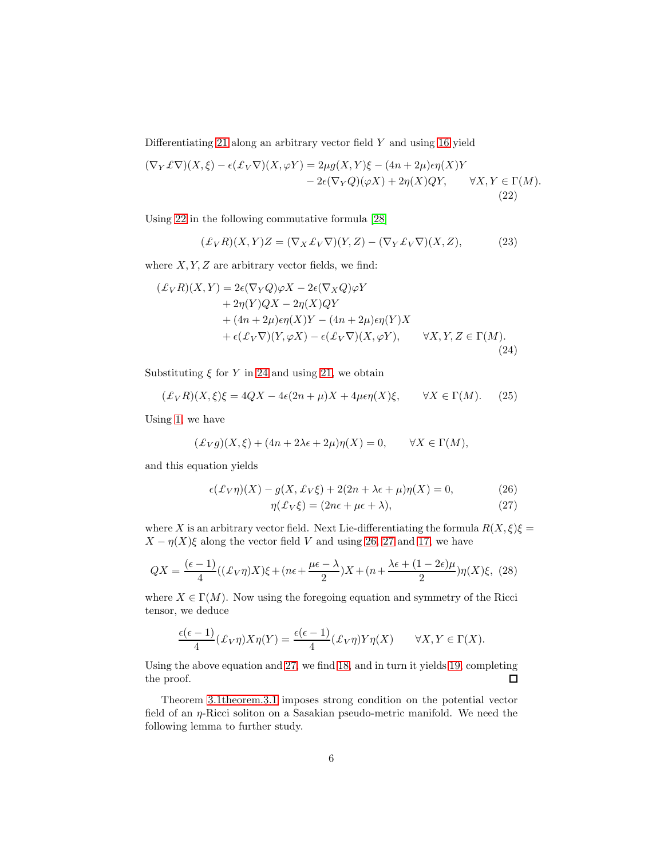Differentiating [21](#page-4-1) along an arbitrary vector field  $Y$  and using [16](#page-3-4) yield

<span id="page-5-0"></span>
$$
(\nabla_Y \mathcal{L}\nabla)(X,\xi) - \epsilon(\mathcal{L}_V\nabla)(X,\varphi Y) = 2\mu g(X,Y)\xi - (4n+2\mu)\epsilon \eta(X)Y - 2\epsilon(\nabla_Y Q)(\varphi X) + 2\eta(X)QY, \qquad \forall X,Y \in \Gamma(M).
$$
\n(22)

Using [22](#page-5-0) in the following commutative formula [\[28\]](#page-13-8)

<span id="page-5-4"></span>
$$
(\pounds_V R)(X,Y)Z = (\nabla_X \pounds_V \nabla)(Y,Z) - (\nabla_Y \pounds_V \nabla)(X,Z),\tag{23}
$$

where  $X, Y, Z$  are arbitrary vector fields, we find:

<span id="page-5-1"></span>
$$
(\pounds_V R)(X, Y) = 2\epsilon(\nabla_Y Q)\varphi X - 2\epsilon(\nabla_X Q)\varphi Y + 2\eta(Y)QX - 2\eta(X)QY + (4n + 2\mu)\epsilon\eta(X)Y - (4n + 2\mu)\epsilon\eta(Y)X + \epsilon(\pounds_V \nabla)(Y, \varphi X) - \epsilon(\pounds_V \nabla)(X, \varphi Y), \qquad \forall X, Y, Z \in \Gamma(M).
$$
\n(24)

Substituting  $\xi$  for Y in [24](#page-5-1) and using [21,](#page-4-1) we obtain

$$
(\pounds_V R)(X,\xi)\xi = 4QX - 4\epsilon(2n+\mu)X + 4\mu\epsilon\eta(X)\xi, \qquad \forall X \in \Gamma(M). \tag{25}
$$

Using [1,](#page-1-0) we have

$$
(\pounds_V g)(X,\xi) + (4n + 2\lambda\epsilon + 2\mu)\eta(X) = 0, \qquad \forall X \in \Gamma(M),
$$

and this equation yields

$$
\epsilon(\pounds_V \eta)(X) - g(X, \pounds_V \xi) + 2(2n + \lambda \epsilon + \mu)\eta(X) = 0, \tag{26}
$$

<span id="page-5-3"></span><span id="page-5-2"></span>
$$
\eta(\pounds_V \xi) = (2n\epsilon + \mu\epsilon + \lambda),\tag{27}
$$

where X is an arbitrary vector field. Next Lie-differentiating the formula  $R(X, \xi)\xi =$  $X - \eta(X)\xi$  along the vector field V and using [26,](#page-5-2) [27](#page-5-3) and [17,](#page-3-7) we have

$$
QX = \frac{(\epsilon - 1)}{4}((\pounds_V \eta)X)\xi + (n\epsilon + \frac{\mu\epsilon - \lambda}{2})X + (n + \frac{\lambda\epsilon + (1 - 2\epsilon)\mu}{2})\eta(X)\xi, (28)
$$

where  $X \in \Gamma(M)$ . Now using the foregoing equation and symmetry of the Ricci tensor, we deduce

$$
\frac{\epsilon(\epsilon-1)}{4}(\pounds_V \eta)X\eta(Y) = \frac{\epsilon(\epsilon-1)}{4}(\pounds_V \eta)Y\eta(X) \qquad \forall X, Y \in \Gamma(X).
$$

Using the above equation and [27,](#page-5-3) we find [18,](#page-4-2) and in turn it yields [19,](#page-4-3) completing the proof.  $\Box$ 

Theorem [3.1theorem.3.1](#page-4-4) imposes strong condition on the potential vector field of an η-Ricci soliton on a Sasakian pseudo-metric manifold. We need the following lemma to further study.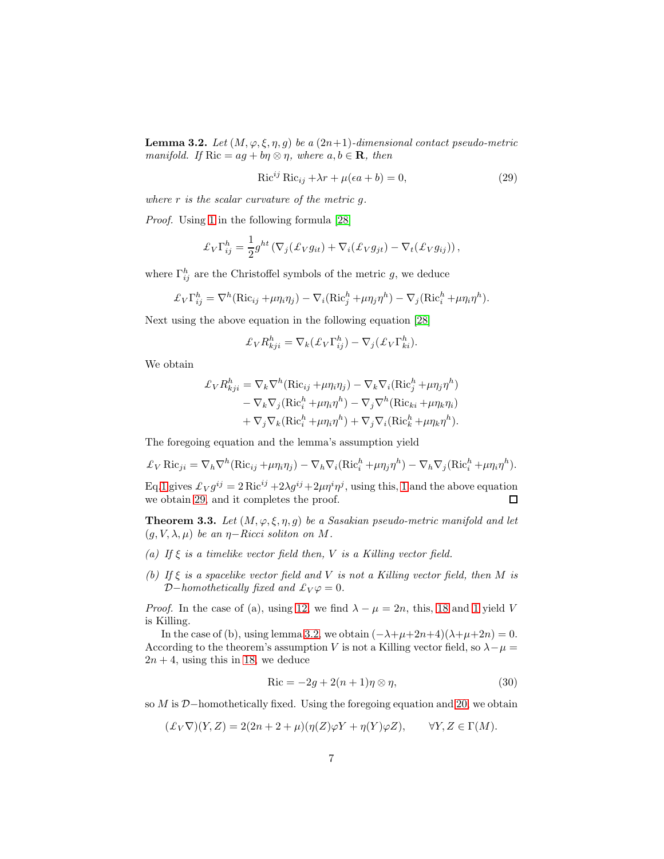<span id="page-6-1"></span>**Lemma 3.2.** Let  $(M, \varphi, \xi, \eta, g)$  be a  $(2n+1)$ -dimensional contact pseudo-metric manifold. If  $\text{Ric} = ag + b\eta \otimes \eta$ , where  $a, b \in \mathbf{R}$ , then

<span id="page-6-0"></span>
$$
Ric^{ij} Ric_{ij} + \lambda r + \mu(\epsilon a + b) = 0,
$$
\n(29)

where  $r$  is the scalar curvature of the metric  $q$ .

Proof. Using [1](#page-1-0) in the following formula [\[28\]](#page-13-8)

$$
\mathcal{L}_V \Gamma_{ij}^h = \frac{1}{2} g^{ht} \left( \nabla_j (\mathcal{L}_V g_{it}) + \nabla_i (\mathcal{L}_V g_{jt}) - \nabla_t (\mathcal{L}_V g_{ij}) \right),
$$

where  $\Gamma_{ij}^h$  are the Christoffel symbols of the metric g, we deduce

$$
\pounds_V \Gamma_{ij}^h = \nabla^h (\text{Ric}_{ij} + \mu \eta_i \eta_j) - \nabla_i (\text{Ric}_j^h + \mu \eta_j \eta^h) - \nabla_j (\text{Ric}_i^h + \mu \eta_i \eta^h).
$$

Next using the above equation in the following equation [\[28\]](#page-13-8)

$$
\pounds_V R_{kji}^h = \nabla_k (\pounds_V \Gamma_{ij}^h) - \nabla_j (\pounds_V \Gamma_{ki}^h).
$$

We obtain

$$
\mathcal{L}_{V} R_{kji}^{h} = \nabla_{k} \nabla^{h} (\text{Ric}_{ij} + \mu \eta_{i} \eta_{j}) - \nabla_{k} \nabla_{i} (\text{Ric}_{j}^{h} + \mu \eta_{j} \eta^{h})
$$
  
\n
$$
- \nabla_{k} \nabla_{j} (\text{Ric}_{i}^{h} + \mu \eta_{i} \eta^{h}) - \nabla_{j} \nabla^{h} (\text{Ric}_{ki} + \mu \eta_{k} \eta_{i})
$$
  
\n
$$
+ \nabla_{j} \nabla_{k} (\text{Ric}_{i}^{h} + \mu \eta_{i} \eta^{h}) + \nabla_{j} \nabla_{i} (\text{Ric}_{k}^{h} + \mu \eta_{k} \eta^{h}).
$$

The foregoing equation and the lemma's assumption yield

$$
\pounds_V \text{Ric}_{ji} = \nabla_h \nabla^h (\text{Ric}_{ij} + \mu \eta_i \eta_j) - \nabla_h \nabla_i (\text{Ric}_i^h + \mu \eta_j \eta^h) - \nabla_h \nabla_j (\text{Ric}_i^h + \mu \eta_i \eta^h).
$$

Eq[.1](#page-1-0) gives  $\mathcal{L}_V g^{ij} = 2 \text{Ric}^{ij} + 2\lambda g^{ij} + 2\mu \eta^i \eta^j$ , using this, [1](#page-1-0) and the above equation we obtain [29,](#page-6-0) and it completes the proof.  $\Box$ 

**Theorem 3.3.** Let  $(M, \varphi, \xi, \eta, g)$  be a Sasakian pseudo-metric manifold and let  $(g, V, \lambda, \mu)$  be an  $\eta$ -Ricci soliton on M.

- (a) If  $\xi$  is a timelike vector field then, V is a Killing vector field.
- (b) If  $\xi$  is a spacelike vector field and V is not a Killing vector field, then M is D−homothetically fixed and  $\mathcal{L}_V \varphi = 0$ .

*Proof.* In the case of (a), using [12,](#page-3-0) we find  $\lambda - \mu = 2n$ , this, [18](#page-4-2) and [1](#page-1-0) yield V is Killing.

In the case of (b), using lemma [3.2,](#page-6-1) we obtain  $(-\lambda+\mu+2n+4)(\lambda+\mu+2n) = 0$ . According to the theorem's assumption V is not a Killing vector field, so  $\lambda - \mu =$  $2n + 4$ , using this in [18,](#page-4-2) we deduce

<span id="page-6-2"></span>
$$
\text{Ric} = -2g + 2(n+1)\eta \otimes \eta,\tag{30}
$$

so M is D–homothetically fixed. Using the foregoing equation and [20,](#page-4-0) we obtain

$$
(\pounds_V \nabla)(Y, Z) = 2(2n + 2 + \mu)(\eta(Z)\varphi Y + \eta(Y)\varphi Z), \qquad \forall Y, Z \in \Gamma(M).
$$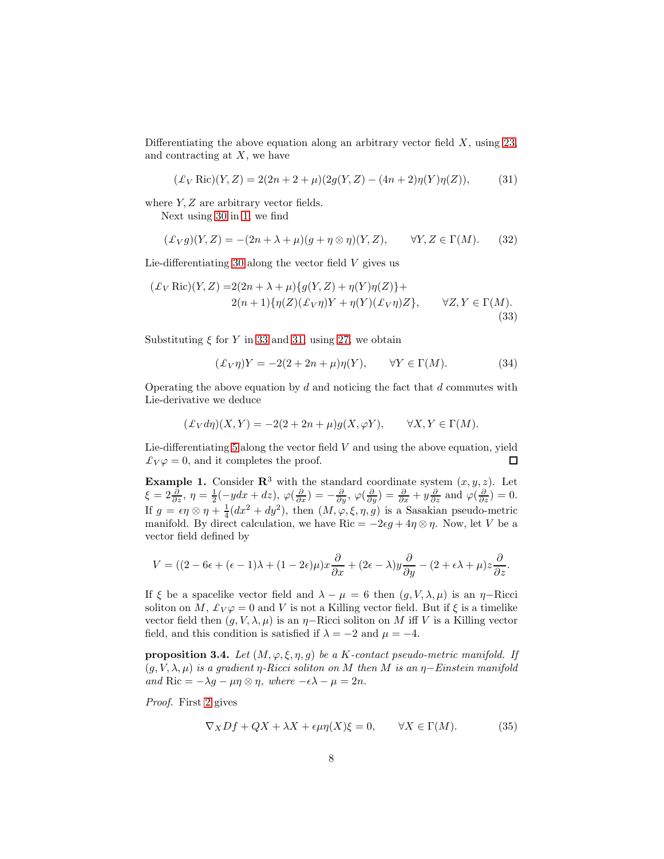Differentiating the above equation along an arbitrary vector field  $X$ , using [23,](#page-5-4) and contracting at  $X$ , we have

<span id="page-7-1"></span>
$$
(\pounds_V \text{Ric})(Y, Z) = 2(2n + 2 + \mu)(2g(Y, Z) - (4n + 2)\eta(Y)\eta(Z)), \tag{31}
$$

where  $Y, Z$  are arbitrary vector fields.

Next using [30](#page-6-2) in [1,](#page-1-0) we find

$$
(\mathcal{L}_V g)(Y, Z) = -(2n + \lambda + \mu)(g + \eta \otimes \eta)(Y, Z), \qquad \forall Y, Z \in \Gamma(M). \tag{32}
$$

Lie-differentiating [30](#page-6-2) along the vector field  $V$  gives us

<span id="page-7-0"></span>
$$
(\mathcal{L}_V \operatorname{Ric})(Y, Z) = 2(2n + \lambda + \mu)\{g(Y, Z) + \eta(Y)\eta(Z)\} +
$$
  
2(n+1)\{\eta(Z)(\mathcal{L}\_V\eta)Y + \eta(Y)(\mathcal{L}\_V\eta)Z\}, \quad \forall Z, Y \in \Gamma(M). (33)

Substituting  $\xi$  for Y in [33](#page-7-0) and [31,](#page-7-1) using [27,](#page-5-3) we obtain

$$
(\pounds_V \eta)Y = -2(2 + 2n + \mu)\eta(Y), \qquad \forall Y \in \Gamma(M). \tag{34}
$$

Operating the above equation by  $d$  and noticing the fact that  $d$  commutes with Lie-derivative we deduce

$$
(\pounds_V d\eta)(X, Y) = -2(2 + 2n + \mu)g(X, \varphi Y), \qquad \forall X, Y \in \Gamma(M).
$$

Lie-differentiating  $5$  along the vector field  $V$  and using the above equation, yield  $\mathcal{L}_V \varphi = 0$ , and it completes the proof. 口

**Example 1.** Consider  $\mathbb{R}^3$  with the standard coordinate system  $(x, y, z)$ . Let  $\xi = 2\frac{\partial}{\partial z}, \eta = \frac{1}{2}(-ydx + dz), \varphi(\frac{\partial}{\partial x}) = -\frac{\partial}{\partial y}, \varphi(\frac{\partial}{\partial y}) = \frac{\partial}{\partial x} + y\frac{\partial}{\partial z}$  and  $\varphi(\frac{\partial}{\partial z}) = 0$ . If  $g = \epsilon \eta \otimes \eta + \frac{1}{4}(dx^2 + dy^2)$ , then  $(M, \varphi, \xi, \eta, g)$  is a Sasakian pseudo-metric manifold. By direct calculation, we have Ric =  $-2\epsilon g + 4\eta \otimes \eta$ . Now, let V be a vector field defined by

$$
V = ((2 - 6\epsilon + (\epsilon - 1)\lambda + (1 - 2\epsilon)\mu)x\frac{\partial}{\partial x} + (2\epsilon - \lambda)y\frac{\partial}{\partial y} - (2 + \epsilon\lambda + \mu)z\frac{\partial}{\partial z}.
$$

If  $\xi$  be a spacelike vector field and  $\lambda - \mu = 6$  then  $(g, V, \lambda, \mu)$  is an  $\eta$ -Ricci soliton on M,  $\mathcal{L}_V \varphi = 0$  and V is not a Killing vector field. But if  $\xi$  is a timelike vector field then  $(g, V, \lambda, \mu)$  is an  $\eta$ –Ricci soliton on M iff V is a Killing vector field, and this condition is satisfied if  $\lambda = -2$  and  $\mu = -4$ .

**proposition 3.4.** Let  $(M, \varphi, \xi, \eta, q)$  be a K-contact pseudo-metric manifold. If  $(g, V, \lambda, \mu)$  is a gradient  $\eta$ -Ricci soliton on M then M is an  $\eta$ -Einstein manifold and Ric =  $-\lambda q - \mu \eta \otimes \eta$ , where  $-\epsilon \lambda - \mu = 2n$ .

Proof. First [2](#page-1-1) gives

<span id="page-7-2"></span>
$$
\nabla_X Df + QX + \lambda X + \epsilon \mu \eta(X)\xi = 0, \qquad \forall X \in \Gamma(M). \tag{35}
$$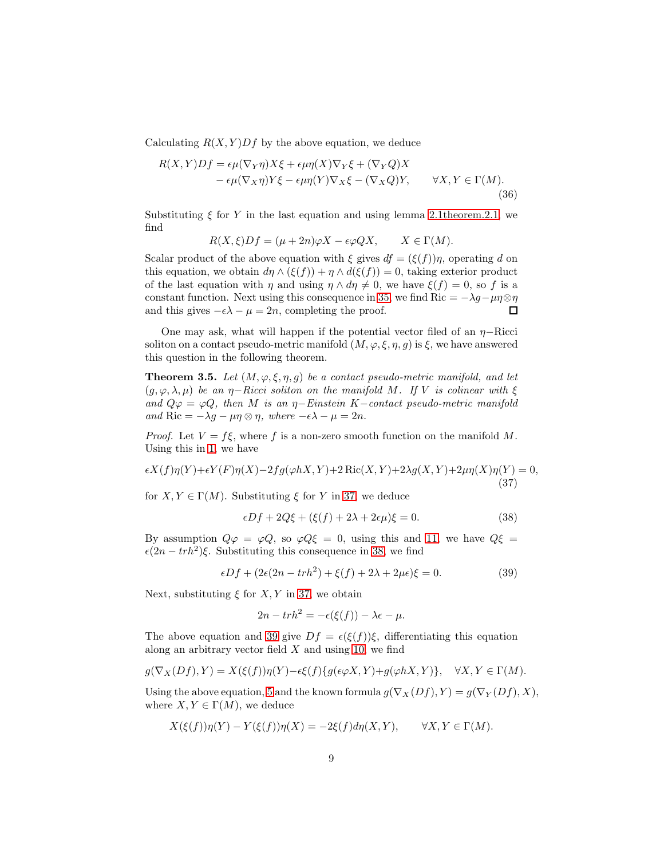Calculating  $R(X, Y)Df$  by the above equation, we deduce

<span id="page-8-3"></span>
$$
R(X,Y)Df = \epsilon \mu (\nabla_Y \eta) X\xi + \epsilon \mu \eta(X) \nabla_Y \xi + (\nabla_Y Q) X - \epsilon \mu (\nabla_X \eta) Y\xi - \epsilon \mu \eta(Y) \nabla_X \xi - (\nabla_X Q) Y, \qquad \forall X, Y \in \Gamma(M).
$$
\n(36)

Substituting  $\xi$  for Y in the last equation and using lemma [2.1theorem.2.1,](#page-3-5) we find

$$
R(X,\xi)Df = (\mu + 2n)\varphi X - \epsilon\varphi QX, \qquad X \in \Gamma(M).
$$

Scalar product of the above equation with  $\xi$  gives  $df = (\xi(f))\eta$ , operating d on this equation, we obtain  $d\eta \wedge (\xi(f)) + \eta \wedge d(\xi(f)) = 0$ , taking exterior product of the last equation with  $\eta$  and using  $\eta \wedge d\eta \neq 0$ , we have  $\xi(f) = 0$ , so f is a constant function. Next using this consequence in [35,](#page-7-2) we find Ric =  $-\lambda g - \mu \eta \otimes \eta$ and this gives  $-\epsilon \lambda - \mu = 2n$ , completing the proof.  $\Box$ 

One may ask, what will happen if the potential vector filed of an  $\eta$ -Ricci soliton on a contact pseudo-metric manifold  $(M, \varphi, \xi, \eta, g)$  is  $\xi$ , we have answered this question in the following theorem.

**Theorem 3.5.** Let  $(M, \varphi, \xi, \eta, g)$  be a contact pseudo-metric manifold, and let  $(g, \varphi, \lambda, \mu)$  be an  $\eta$ -Ricci soliton on the manifold M. If V is colinear with  $\xi$ and  $Q\varphi = \varphi Q$ , then M is an  $\eta$ -Einstein K-contact pseudo-metric manifold and Ric =  $-\lambda g - \mu \eta \otimes \eta$ , where  $-\epsilon \lambda - \mu = 2n$ .

*Proof.* Let  $V = f\xi$ , where f is a non-zero smooth function on the manifold M. Using this in [1,](#page-1-0) we have

<span id="page-8-0"></span>
$$
\epsilon X(f)\eta(Y) + \epsilon Y(F)\eta(X) - 2fg(\varphi hX, Y) + 2\operatorname{Ric}(X, Y) + 2\lambda g(X, Y) + 2\mu \eta(X)\eta(Y) = 0,
$$
\n(37)

for  $X, Y \in \Gamma(M)$ . Substituting  $\xi$  for Y in [37,](#page-8-0) we deduce

<span id="page-8-1"></span>
$$
\epsilon Df + 2Q\xi + (\xi(f) + 2\lambda + 2\epsilon\mu)\xi = 0.
$$
\n(38)

By assumption  $Q\varphi = \varphi Q$ , so  $\varphi Q\xi = 0$ , using this and [11,](#page-2-1) we have  $Q\xi =$  $\epsilon (2n - trh^2)\xi$ . Substituting this consequence in [38,](#page-8-1) we find

<span id="page-8-2"></span>
$$
\epsilon Df + (2\epsilon (2n - trh2) + \xi(f) + 2\lambda + 2\mu\epsilon)\xi = 0.
$$
 (39)

Next, substituting  $\xi$  for  $X, Y$  in [37,](#page-8-0) we obtain

$$
2n - trh2 = -\epsilon(\xi(f)) - \lambda \epsilon - \mu.
$$

The above equation and [39](#page-8-2) give  $Df = \epsilon(\xi(f))\xi$ , differentiating this equation along an arbitrary vector field  $X$  and using [10,](#page-2-2) we find

$$
g(\nabla_X(Df), Y) = X(\xi(f))\eta(Y) - \epsilon\xi(f)\{g(\epsilon\varphi X, Y) + g(\varphi hX, Y)\}, \quad \forall X, Y \in \Gamma(M).
$$

Using the above equation, [5](#page-2-0) and the known formula  $g(\nabla_X(Df), Y) = g(\nabla_Y(Df), X)$ , where  $X, Y \in \Gamma(M)$ , we deduce

$$
X(\xi(f))\eta(Y) - Y(\xi(f))\eta(X) = -2\xi(f)d\eta(X,Y), \qquad \forall X, Y \in \Gamma(M).
$$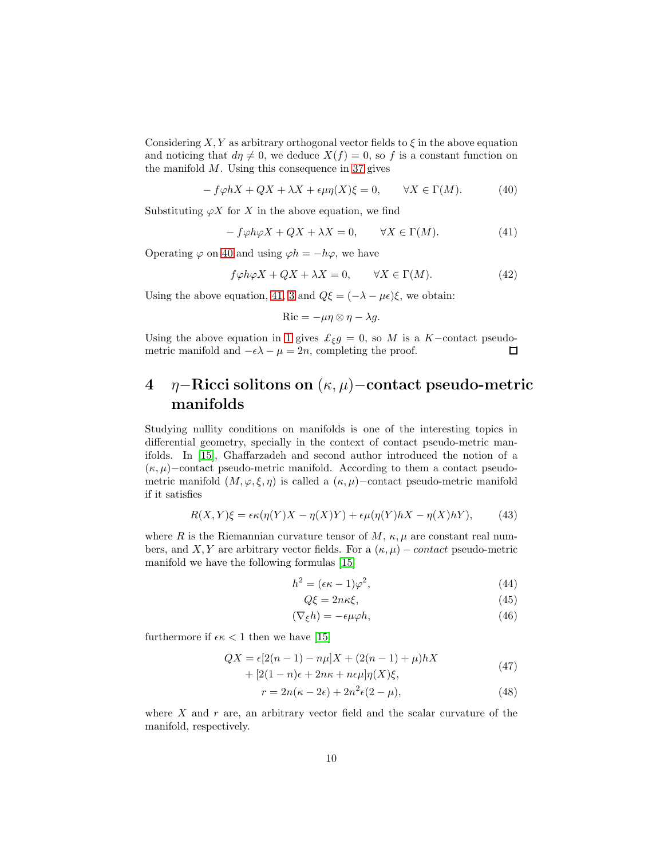Considering  $X, Y$  as arbitrary orthogonal vector fields to  $\xi$  in the above equation and noticing that  $d\eta \neq 0$ , we deduce  $X(f) = 0$ , so f is a constant function on the manifold  $M$ . Using this consequence in [37](#page-8-0) gives

<span id="page-9-0"></span>
$$
-f\varphi hX + QX + \lambda X + \epsilon \mu \eta(X)\xi = 0, \qquad \forall X \in \Gamma(M). \tag{40}
$$

Substituting  $\varphi X$  for X in the above equation, we find

<span id="page-9-1"></span>
$$
-f\varphi h\varphi X + QX + \lambda X = 0, \qquad \forall X \in \Gamma(M). \tag{41}
$$

Operating  $\varphi$  on [40](#page-9-0) and using  $\varphi h = -h\varphi$ , we have

$$
f\varphi h\varphi X + QX + \lambda X = 0, \qquad \forall X \in \Gamma(M). \tag{42}
$$

Using the above equation, [41,](#page-9-1) [3](#page-2-3) and  $Q\xi = (-\lambda - \mu \epsilon)\xi$ , we obtain:

$$
\mathrm{Ric} = -\mu \eta \otimes \eta - \lambda g.
$$

Using the above equation in [1](#page-1-0) gives  $\mathcal{L}_{\xi}g = 0$ , so M is a K-contact pseudometric manifold and  $-\epsilon\lambda - \mu = 2n$ , completing the proof. 口

# 4 η−Ricci solitons on (κ, µ)−contact pseudo-metric manifolds

Studying nullity conditions on manifolds is one of the interesting topics in differential geometry, specially in the context of contact pseudo-metric manifolds. In [\[15\]](#page-12-12), Ghaffarzadeh and second author introduced the notion of a  $(\kappa, \mu)$ –contact pseudo-metric manifold. According to them a contact pseudometric manifold  $(M, \varphi, \xi, \eta)$  is called a  $(\kappa, \mu)$ –contact pseudo-metric manifold if it satisfies

<span id="page-9-3"></span>
$$
R(X,Y)\xi = \epsilon \kappa(\eta(Y)X - \eta(X)Y) + \epsilon \mu(\eta(Y)hX - \eta(X)hY), \tag{43}
$$

where R is the Riemannian curvature tensor of M,  $\kappa$ ,  $\mu$  are constant real numbers, and X, Y are arbitrary vector fields. For a  $(\kappa, \mu)$  – contact pseudo-metric manifold we have the following formulas [\[15\]](#page-12-12)

$$
h^2 = (\epsilon \kappa - 1)\varphi^2,\tag{44}
$$

<span id="page-9-7"></span><span id="page-9-6"></span><span id="page-9-5"></span><span id="page-9-4"></span><span id="page-9-2"></span>
$$
Q\xi = 2n\kappa\xi,\tag{45}
$$

$$
(\nabla_{\xi}h) = -\epsilon \mu \varphi h,\tag{46}
$$

furthermore if  $\epsilon \kappa < 1$  then we have [\[15\]](#page-12-12)

$$
QX = \epsilon[2(n-1) - n\mu]X + (2(n-1) + \mu)hX + [2(1-n)\epsilon + 2n\kappa + n\epsilon\mu]\eta(X)\xi,
$$
\n(47)

$$
r = 2n(\kappa - 2\epsilon) + 2n^2\epsilon(2 - \mu),\tag{48}
$$

where  $X$  and  $r$  are, an arbitrary vector field and the scalar curvature of the manifold, respectively.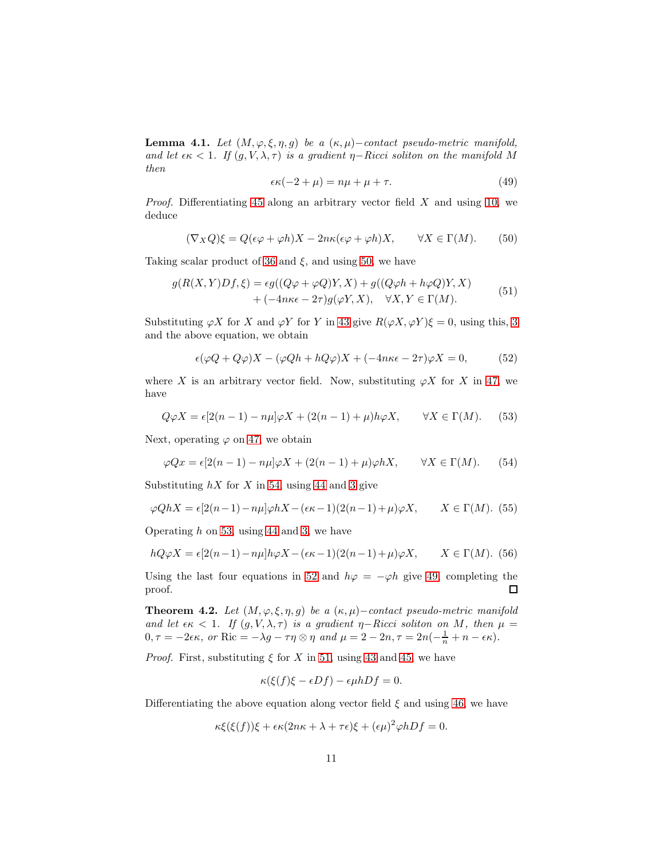Lemma 4.1. Let  $(M, \varphi, \xi, \eta, g)$  be a  $(\kappa, \mu)$ -contact pseudo-metric manifold, and let  $\epsilon \kappa < 1$ . If  $(g, V, \lambda, \tau)$  is a gradient  $\eta$ -Ricci soliton on the manifold M then

<span id="page-10-4"></span>
$$
\epsilon \kappa (-2 + \mu) = n\mu + \mu + \tau. \tag{49}
$$

*Proof.* Differentiating [45](#page-9-2) along an arbitrary vector field  $X$  and using [10,](#page-2-2) we deduce

<span id="page-10-0"></span>
$$
(\nabla_X Q)\xi = Q(\epsilon\varphi + \varphi h)X - 2n\kappa(\epsilon\varphi + \varphi h)X, \qquad \forall X \in \Gamma(M). \tag{50}
$$

Taking scalar product of [36](#page-8-3) and  $\xi$ , and using [50,](#page-10-0) we have

<span id="page-10-5"></span>
$$
g(R(X,Y)Df,\xi) = \epsilon g((Q\varphi + \varphi Q)Y, X) + g((Q\varphi h + h\varphi Q)Y, X)
$$
  
+ 
$$
(-4n\kappa\epsilon - 2\tau)g(\varphi Y, X), \quad \forall X, Y \in \Gamma(M).
$$
 (51)

Substituting  $\varphi X$  for X and  $\varphi Y$  for Y in [43](#page-9-3) give  $R(\varphi X, \varphi Y)\xi = 0$ , using this, [3](#page-2-3) and the above equation, we obtain

<span id="page-10-3"></span>
$$
\epsilon(\varphi Q + Q\varphi)X - (\varphi Qh + hQ\varphi)X + (-4n\kappa\epsilon - 2\tau)\varphi X = 0, \qquad (52)
$$

where X is an arbitrary vector field. Now, substituting  $\varphi X$  for X in [47,](#page-9-4) we have

<span id="page-10-2"></span>
$$
Q\varphi X = \epsilon[2(n-1) - n\mu]\varphi X + (2(n-1) + \mu)h\varphi X, \qquad \forall X \in \Gamma(M). \tag{53}
$$

Next, operating  $\varphi$  on [47,](#page-9-4) we obtain

<span id="page-10-1"></span>
$$
\varphi Qx = \epsilon [2(n-1) - n\mu]\varphi X + (2(n-1) + \mu)\varphi hX, \qquad \forall X \in \Gamma(M). \tag{54}
$$

Substituting  $hX$  for X in [54,](#page-10-1) using [44](#page-9-5) and [3](#page-2-3) give

$$
\varphi QhX = \epsilon[2(n-1) - n\mu]\varphi hX - (\epsilon \kappa - 1)(2(n-1) + \mu)\varphi X, \qquad X \in \Gamma(M). \tag{55}
$$

Operating  $h$  on [53,](#page-10-2) using [44](#page-9-5) and [3,](#page-2-3) we have

$$
hQ\varphi X = \epsilon[2(n-1) - n\mu]h\varphi X - (\epsilon \kappa - 1)(2(n-1) + \mu)\varphi X, \qquad X \in \Gamma(M). \tag{56}
$$

Using the last four equations in [52](#page-10-3) and  $h\varphi = -\varphi h$  give [49,](#page-10-4) completing the proof.  $\Box$ 

**Theorem 4.2.** Let  $(M, \varphi, \xi, \eta, g)$  be a  $(\kappa, \mu)$ -contact pseudo-metric manifold and let  $\epsilon \kappa$  < 1. If  $(g, V, \lambda, \tau)$  is a gradient  $\eta$ -Ricci soliton on M, then  $\mu$  =  $0, \tau = -2\epsilon\kappa$ , or Ric =  $-\lambda g - \tau\eta \otimes \eta$  and  $\mu = 2 - 2n, \tau = 2n(-\frac{1}{n} + n - \epsilon\kappa)$ .

*Proof.* First, substituting  $\xi$  for X in [51,](#page-10-5) using [43](#page-9-3) and [45,](#page-9-2) we have

$$
\kappa(\xi(f)\xi - \epsilon Df) - \epsilon \mu h Df = 0.
$$

Differentiating the above equation along vector field  $\xi$  and using [46,](#page-9-6) we have

$$
\kappa \xi(\xi(f))\xi + \epsilon \kappa (2n\kappa + \lambda + \tau \epsilon)\xi + (\epsilon \mu)^2 \varphi h Df = 0.
$$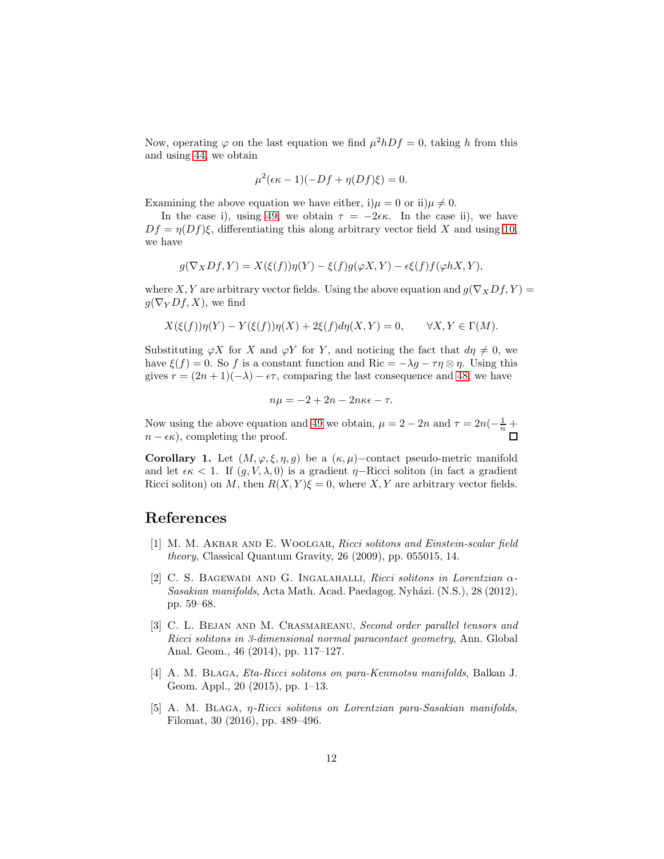Now, operating  $\varphi$  on the last equation we find  $\mu^2 h Df = 0$ , taking h from this and using [44,](#page-9-5) we obtain

$$
\mu^2(\epsilon \kappa - 1)(-Df + \eta(Df)\xi) = 0.
$$

Examining the above equation we have either, i) $\mu = 0$  or ii) $\mu \neq 0$ .

In the case i), using [49,](#page-10-4) we obtain  $\tau = -2\epsilon\kappa$ . In the case ii), we have  $Df = \eta(Df)\xi$ , differentiating this along arbitrary vector field X and using [10,](#page-2-2) we have

$$
g(\nabla_X Df, Y) = X(\xi(f))\eta(Y) - \xi(f)g(\varphi X, Y) - \epsilon\xi(f)f(\varphi hX, Y),
$$

where X, Y are arbitrary vector fields. Using the above equation and  $g(\nabla_X Df, Y) =$  $g(\nabla_Y Df, X)$ , we find

$$
X(\xi(f))\eta(Y) - Y(\xi(f))\eta(X) + 2\xi(f)d\eta(X,Y) = 0, \qquad \forall X, Y \in \Gamma(M).
$$

Substituting  $\varphi X$  for X and  $\varphi Y$  for Y, and noticing the fact that  $d\eta \neq 0$ , we have  $\xi(f) = 0$ . So f is a constant function and Ric =  $-\lambda g - \tau \eta \otimes \eta$ . Using this gives  $r = (2n + 1)(-\lambda) - \epsilon \tau$ , comparing the last consequence and [48,](#page-9-7) we have

$$
n\mu = -2 + 2n - 2n\kappa\epsilon - \tau.
$$

Now using the above equation and [49](#page-10-4) we obtain,  $\mu = 2 - 2n$  and  $\tau = 2n(-\frac{1}{n} + \frac{1}{n})$  $n - \epsilon \kappa$ , completing the proof.

Corollary 1. Let  $(M, \varphi, \xi, \eta, g)$  be a  $(\kappa, \mu)$ –contact pseudo-metric manifold and let  $\epsilon \kappa < 1$ . If  $(g, V, \lambda, 0)$  is a gradient  $\eta$ -Ricci soliton (in fact a gradient Ricci soliton) on M, then  $R(X, Y) \xi = 0$ , where X, Y are arbitrary vector fields.

#### <span id="page-11-2"></span>References

- [1] M. M. AKBAR AND E. WOOLGAR, Ricci solitons and Einstein-scalar field theory, Classical Quantum Gravity, 26 (2009), pp. 055015, 14.
- <span id="page-11-0"></span>[2] C. S. BAGEWADI AND G. INGALAHALLI, Ricci solitons in Lorentzian  $\alpha$ -Sasakian manifolds, Acta Math. Acad. Paedagog. Nyházi. (N.S.), 28 (2012), pp. 59–68.
- <span id="page-11-1"></span>[3] C. L. BEJAN AND M. CRASMAREANU, Second order parallel tensors and Ricci solitons in 3-dimensional normal paracontact geometry, Ann. Global Anal. Geom., 46 (2014), pp. 117–127.
- <span id="page-11-3"></span>[4] A. M. BLAGA, *Eta-Ricci solitons on para-Kenmotsu manifolds*, Balkan J. Geom. Appl., 20 (2015), pp. 1–13.
- <span id="page-11-4"></span>[5] A. M. Blaga, η-Ricci solitons on Lorentzian para-Sasakian manifolds, Filomat, 30 (2016), pp. 489–496.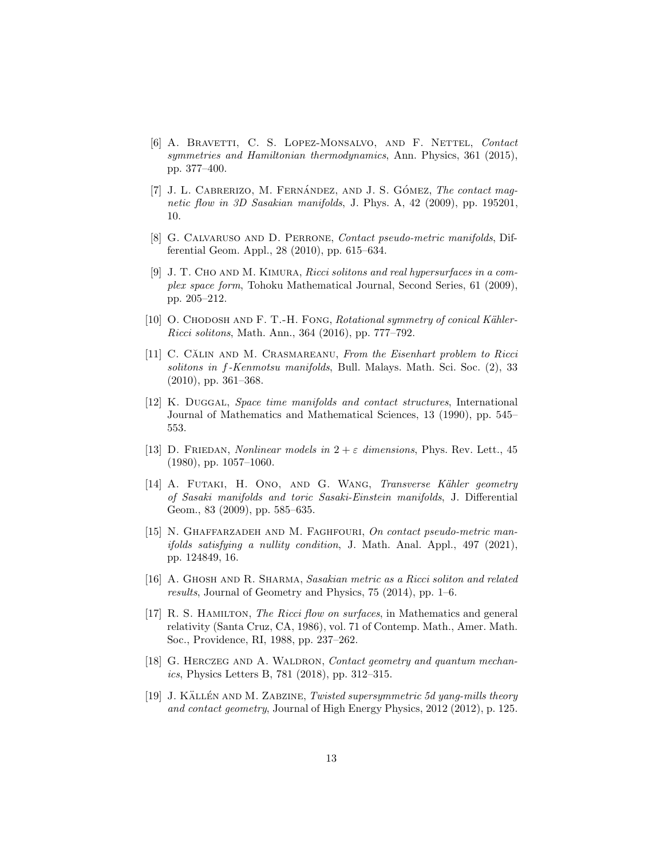- <span id="page-12-7"></span>[6] A. BRAVETTI, C. S. LOPEZ-MONSALVO, AND F. NETTEL, Contact symmetries and Hamiltonian thermodynamics, Ann. Physics, 361 (2015), pp. 377–400.
- <span id="page-12-8"></span>[7] J. L. CABRERIZO, M. FERNÁNDEZ, AND J. S. GÓMEZ, The contact magnetic flow in 3D Sasakian manifolds, J. Phys. A, 42 (2009), pp. 195201, 10.
- <span id="page-12-11"></span><span id="page-12-6"></span>[8] G. CALVARUSO AND D. PERRONE, Contact pseudo-metric manifolds, Differential Geom. Appl., 28 (2010), pp. 615–634.
- [9] J. T. CHO AND M. KIMURA, Ricci solitons and real hypersurfaces in a complex space form, Tohoku Mathematical Journal, Second Series, 61 (2009), pp. 205–212.
- <span id="page-12-2"></span><span id="page-12-1"></span>[10] O. CHODOSH AND F. T.-H. FONG, Rotational symmetry of conical Kähler-Ricci solitons, Math. Ann., 364 (2016), pp. 777–792.
- $[11]$  C. CALIN AND M. CRASMAREANU, From the Eisenhart problem to Ricci solitons in f-Kenmotsu manifolds, Bull. Malays. Math. Sci. Soc. (2), 33 (2010), pp. 361–368.
- <span id="page-12-13"></span>[12] K. Duggal, Space time manifolds and contact structures, International Journal of Mathematics and Mathematical Sciences, 13 (1990), pp. 545– 553.
- <span id="page-12-5"></span>[13] D. FRIEDAN, *Nonlinear models in*  $2 + \varepsilon$  dimensions, Phys. Rev. Lett., 45 (1980), pp. 1057–1060.
- <span id="page-12-3"></span>[14] A. FUTAKI, H. ONO, AND G. WANG, Transverse Kähler geometry of Sasaki manifolds and toric Sasaki-Einstein manifolds, J. Differential Geom., 83 (2009), pp. 585–635.
- <span id="page-12-12"></span>[15] N. GHAFFARZADEH AND M. FAGHFOURI, On contact pseudo-metric manifolds satisfying a nullity condition, J. Math. Anal. Appl., 497 (2021), pp. 124849, 16.
- <span id="page-12-4"></span>[16] A. GHOSH AND R. SHARMA, Sasakian metric as a Ricci soliton and related results, Journal of Geometry and Physics, 75 (2014), pp. 1–6.
- <span id="page-12-0"></span>[17] R. S. HAMILTON, The Ricci flow on surfaces, in Mathematics and general relativity (Santa Cruz, CA, 1986), vol. 71 of Contemp. Math., Amer. Math. Soc., Providence, RI, 1988, pp. 237–262.
- <span id="page-12-10"></span>[18] G. HERCZEG AND A. WALDRON, Contact geometry and quantum mechanics, Physics Letters B, 781 (2018), pp. 312–315.
- <span id="page-12-9"></span>[19] J. KÄLLÉN AND M. ZABZINE, Twisted supersymmetric 5d yang-mills theory and contact geometry, Journal of High Energy Physics, 2012 (2012), p. 125.